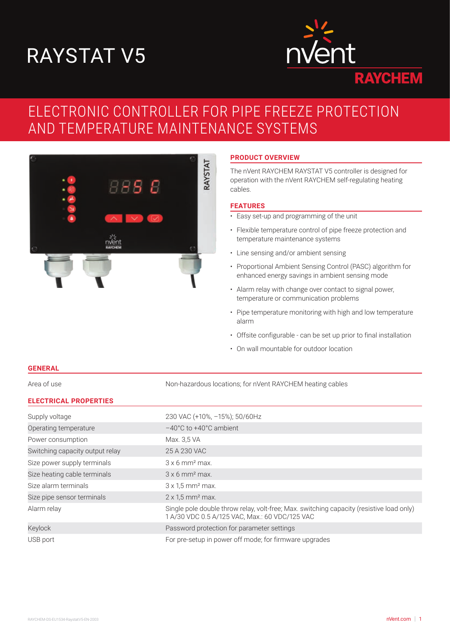# RAYSTAT V5



## ELECTRONIC CONTROLLER FOR PIPE FREEZE PROTECTION AND TEMPERATURE MAINTENANCE SYSTEMS



#### **PRODUCT OVERVIEW**

The nVent RAYCHEM RAYSTAT V5 controller is designed for operation with the nVent RAYCHEM self-regulating heating cables.

#### **FEATURES**

- Easy set-up and programming of the unit
- Flexible temperature control of pipe freeze protection and temperature maintenance systems
- Line sensing and/or ambient sensing
- Proportional Ambient Sensing Control (PASC) algorithm for enhanced energy savings in ambient sensing mode
- Alarm relay with change over contact to signal power, temperature or communication problems
- Pipe temperature monitoring with high and low temperature alarm
- Offsite configurable can be set up prior to final installation
- On wall mountable for outdoor location

#### **GENERAL**

Area of use Non-hazardous locations; for nVent RAYCHEM heating cables

#### **ELECTRICAL PROPERTIES**

| Supply voltage                  | 230 VAC (+10%, -15%); 50/60Hz                                                                                                              |
|---------------------------------|--------------------------------------------------------------------------------------------------------------------------------------------|
| Operating temperature           | $-40^{\circ}$ C to $+40^{\circ}$ C ambient                                                                                                 |
| Power consumption               | Max. 3,5 VA                                                                                                                                |
| Switching capacity output relay | 25 A 230 VAC                                                                                                                               |
| Size power supply terminals     | $3 \times 6$ mm <sup>2</sup> max.                                                                                                          |
| Size heating cable terminals    | $3 \times 6$ mm <sup>2</sup> max.                                                                                                          |
| Size alarm terminals            | $3 \times 1.5$ mm <sup>2</sup> max.                                                                                                        |
| Size pipe sensor terminals      | $2 \times 1.5$ mm <sup>2</sup> max.                                                                                                        |
| Alarm relay                     | Single pole double throw relay, volt-free; Max. switching capacity (resistive load only)<br>1 A/30 VDC 0.5 A/125 VAC, Max.: 60 VDC/125 VAC |
| Keylock                         | Password protection for parameter settings                                                                                                 |
| USB port                        | For pre-setup in power off mode; for firmware upgrades                                                                                     |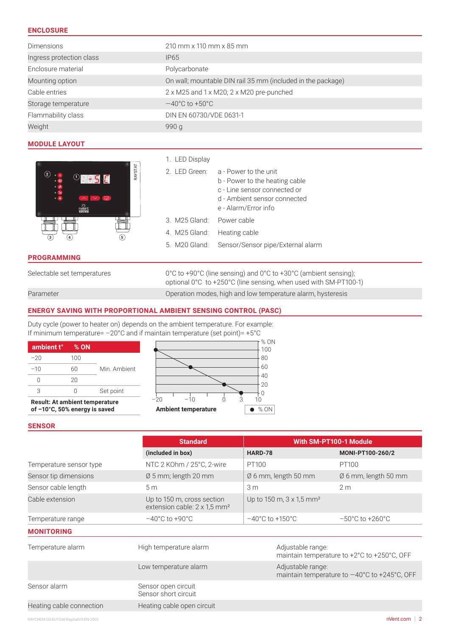#### **ENCLOSURE**

| <b>Dimensions</b>        | 210 mm x 110 mm x 85 mm                                     |
|--------------------------|-------------------------------------------------------------|
| Ingress protection class | IP <sub>65</sub>                                            |
| Enclosure material       | Polycarbonate                                               |
| Mounting option          | On wall; mountable DIN rail 35 mm (included in the package) |
| Cable entries            | 2 x M25 and 1 x M20; 2 x M20 pre-punched                    |
| Storage temperature      | $-40^{\circ}$ C to +50 $^{\circ}$ C                         |
| Flammability class       | DIN EN 60730/VDE 0631-1                                     |
| Weight                   | 990 $q$                                                     |

#### **MODULE LAYOUT**



#### **PROGRAMMING**

#### 1. LED Display

|                           | 2. LED Green: a - Power to the unit             |
|---------------------------|-------------------------------------------------|
|                           | b - Power to the heating cable                  |
|                           | c - Line sensor connected or                    |
|                           | d - Ambient sensor connected                    |
|                           | e - Alarm/Error info                            |
| 3. M25 Gland: Power cable |                                                 |
|                           | 4. M25 Gland: Heating cable                     |
|                           | 5. M20 Gland: Sensor/Sensor pipe/External alarm |
|                           |                                                 |

Selectable set temperatures 0°C to +90°C (line sensing) and 0°C to +30°C (ambient sensing); optional 0°C to +250°C (line sensing, when used with SM-PT100-1) Parameter **Parameter** Computer Computer Construction modes, high and low temperature alarm, hysteresis

#### **ENERGY SAVING WITH PROPORTIONAL AMBIENT SENSING CONTROL (PASC)**

Duty cycle (power to heater on) depends on the ambient temperature. For example: If minimum temperature= –20°C and if maintain temperature (set point)= +5°C

| ambient t° | $%$ ON |             |
|------------|--------|-------------|
| $-20$      | 100    |             |
| $-10$      | 60     | Min Amhient |
|            | 20     |             |
|            |        | Set point   |

**Result: At ambient temperature** 



#### **SENSOR**

|                          | <b>Standard</b>                                                        |                                             | With SM-PT100-1 Module                                 |
|--------------------------|------------------------------------------------------------------------|---------------------------------------------|--------------------------------------------------------|
|                          | (included in box)                                                      | HARD-78                                     | MONI-PT100-260/2                                       |
| Temperature sensor type  | NTC 2 KOhm / 25°C, 2-wire                                              | PT100                                       | PT100                                                  |
| Sensor tip dimensions    | $\varnothing$ 5 mm; length 20 mm                                       | $\varnothing$ 6 mm, length 50 mm            | $\varnothing$ 6 mm, length 50 mm                       |
| Sensor cable length      | 5 <sub>m</sub>                                                         | 3 <sub>m</sub>                              | 2 <sub>m</sub>                                         |
| Cable extension          | Up to 150 m, cross section<br>extension cable: 2 x 1,5 mm <sup>2</sup> | Up to 150 m, $3 \times 1.5$ mm <sup>2</sup> |                                                        |
| Temperature range        | $-40^{\circ}$ C to +90 $^{\circ}$ C                                    | $-40^{\circ}$ C to +150 $^{\circ}$ C        | $-50^{\circ}$ C to $+260^{\circ}$ C                    |
| <b>MONITORING</b>        |                                                                        |                                             |                                                        |
| Temperature alarm        | High temperature alarm                                                 | Adjustable range:                           | maintain temperature to +2°C to +250°C, OFF            |
|                          | Low temperature alarm                                                  | Adjustable range:                           | maintain temperature to $-40^{\circ}$ C to +245°C, OFF |
| Sensor alarm             | Sensor open circuit<br>Sensor short circuit                            |                                             |                                                        |
| Heating cable connection | Heating cable open circuit                                             |                                             |                                                        |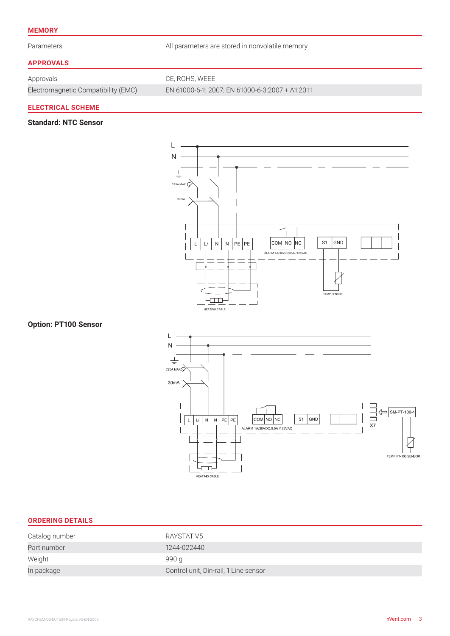#### **MEMORY**

Parameters **All parameters are stored in nonvolatile memory** 

#### **APPROVALS**

Approvals CE, ROHS, WEEE

Electromagnetic Compatibility (EMC) EN 61000-6-1: 2007; EN 61000-6-3:2007 + A1:2011

#### **ELECTRICAL SCHEME**

#### **Standard: NTC Sensor**



#### **Option: PT100 Sensor**



#### **ORDERING DETAILS**

| Catalog number | RAYSTAT V5                            |
|----------------|---------------------------------------|
| Part number    | 1244-022440                           |
| Weight         | 990 g                                 |
| In package     | Control unit, Din-rail, 1 Line sensor |